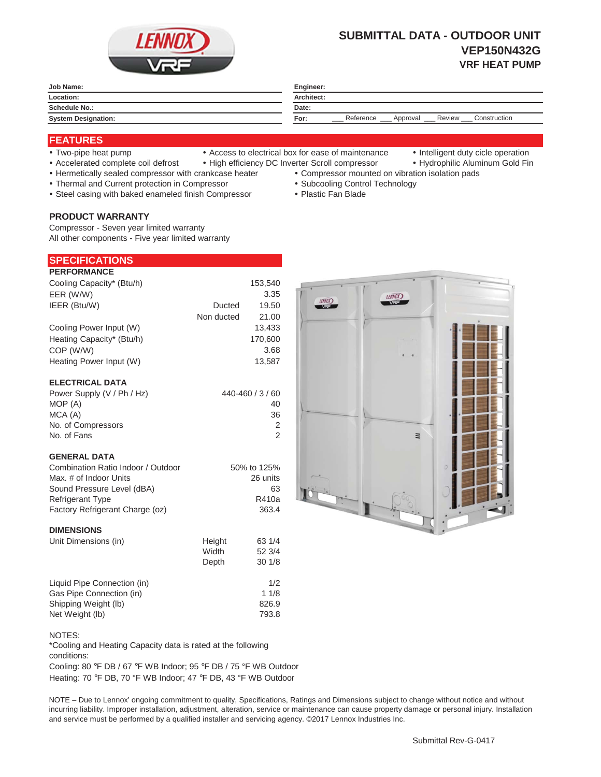

# **SUBMITTAL DATA - OUTDOOR UNIT VEP150N432G VRF HEAT PUMP**

| Job Name:                  | Engineer:                                               |  |
|----------------------------|---------------------------------------------------------|--|
| Location:                  | Architect:                                              |  |
| Schedule No.:              | Date:                                                   |  |
| <b>System Designation:</b> | Reference<br>Review<br>Construction<br>For:<br>Approval |  |

## **FEATURES**

- 
- Two-pipe heat pump Access to electrical box for ease of maintenance Intelligent duty cicle operation
- 
- Accelerated complete coil defrost High efficiency DC Inverter Scroll compressor Hydrophilic Aluminum Gold Fin
- Hermetically sealed compressor with crankcase heater Compressor mounted on vibration isolation pads
- Thermal and Current protection in Compressor \* Subcooling Control Technology
- Steel casing with baked enameled finish Compressor Plastic Fan Blade

## **PRODUCT WARRANTY**

Compressor - Seven year limited warranty All other components - Five year limited warranty

| <b>SPECIFICATIONS</b> |  |
|-----------------------|--|
| <b>PERFORMANCE</b>    |  |

| Cooling Capacity* (Btu/h) |            | 153,540 |
|---------------------------|------------|---------|
| EER (W/W)                 |            | 3.35    |
| IEER (Btu/W)              | Ducted     | 19.50   |
|                           | Non ducted | 21.00   |
| Cooling Power Input (W)   |            | 13,433  |
| Heating Capacity* (Btu/h) |            | 170,600 |
| COP (W/W)                 |            | 3.68    |
| Heating Power Input (W)   |            | 13.587  |
|                           |            |         |

#### **ELECTRICAL DATA**

| Power Supply (V / Ph / Hz) | 440-460 / 3 / 60 |
|----------------------------|------------------|
| MOP (A)                    | 40               |
| MCA (A)                    | 36               |
| No. of Compressors         | 2                |
| No. of Fans                | 2                |

#### **GENERAL DATA**

| Combination Ratio Indoor / Outdoor | 50% to 125% |
|------------------------------------|-------------|
| Max. # of Indoor Units             | 26 units    |
| Sound Pressure Level (dBA)         | 63          |
| <b>Refrigerant Type</b>            | R410a       |
| Factory Refrigerant Charge (oz)    | 363.4       |
|                                    |             |

#### **DIMENSIONS**

| Unit Dimensions (in)        | Height | 63 1/4 |
|-----------------------------|--------|--------|
|                             | Width  | 52 3/4 |
|                             | Depth  | 301/8  |
| Liquid Pipe Connection (in) |        | 1/2    |
| Gas Pipe Connection (in)    |        | 11/8   |
| Shipping Weight (lb)        |        | 826.9  |
| Net Weight (lb)             |        | 793.8  |



\*Cooling and Heating Capacity data is rated at the following conditions:

Cooling: 80 °F DB / 67 °F WB Indoor; 95 °F DB / 75 °F WB Outdoor Heating: 70 °F DB, 70 °F WB Indoor; 47 °F DB, 43 °F WB Outdoor

NOTE – Due to Lennox' ongoing commitment to quality, Specifications, Ratings and Dimensions subject to change without notice and without incurring liability. Improper installation, adjustment, alteration, service or maintenance can cause property damage or personal injury. Installation and service must be performed by a qualified installer and servicing agency. ©2017 Lennox Industries Inc.